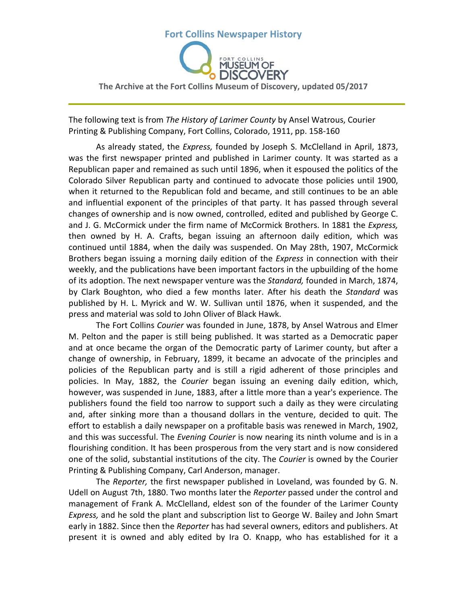# **Fort Collins Newspaper History The Archive at the Fort Collins Museum of Discovery, updated 05/2017**

The following text is from *The History of Larimer County* by Ansel Watrous, Courier Printing & Publishing Company, Fort Collins, Colorado, 1911, pp. 158-160

As already stated, the *Express,* founded by Joseph S. McClelland in April, 1873, was the first newspaper printed and published in Larimer county. It was started as a Republican paper and remained as such until 1896, when it espoused the politics of the Colorado Silver Republican party and continued to advocate those policies until 1900, when it returned to the Republican fold and became, and still continues to be an able and influential exponent of the principles of that party. It has passed through several changes of ownership and is now owned, controlled, edited and published by George C. and J. G. McCormick under the firm name of McCormick Brothers. In 1881 the *Express,*  then owned by H. A. Crafts, began issuing an afternoon daily edition, which was continued until 1884, when the daily was suspended. On May 28th, 1907, McCormick Brothers began issuing a morning daily edition of the *Express* in connection with their weekly, and the publications have been important factors in the upbuilding of the home of its adoption. The next newspaper venture was the *Standard,* founded in March, 1874, by Clark Boughton, who died a few months later. After his death the *Standard* was published by H. L. Myrick and W. W. Sullivan until 1876, when it suspended, and the press and material was sold to John Oliver of Black Hawk.

The Fort Collins *Courier* was founded in June, 1878, by Ansel Watrous and Elmer M. Pelton and the paper is still being published. It was started as a Democratic paper and at once became the organ of the Democratic party of Larimer county, but after a change of ownership, in February, 1899, it became an advocate of the principles and policies of the Republican party and is still a rigid adherent of those principles and policies. In May, 1882, the *Courier* began issuing an evening daily edition, which, however, was suspended in June, 1883, after a little more than a year's experience. The publishers found the field too narrow to support such a daily as they were circulating and, after sinking more than a thousand dollars in the venture, decided to quit. The effort to establish a daily newspaper on a profitable basis was renewed in March, 1902, and this was successful. The *Evening Courier* is now nearing its ninth volume and is in a flourishing condition. It has been prosperous from the very start and is now considered one of the solid, substantial institutions of the city. The *Courier* is owned by the Courier Printing & Publishing Company, Carl Anderson, manager.

The *Reporter,* the first newspaper published in Loveland, was founded by G. N. Udell on August 7th, 1880. Two months later the *Reporter* passed under the control and management of Frank A. McClelland, eldest son of the founder of the Larimer County *Express,* and he sold the plant and subscription list to George W. Bailey and John Smart early in 1882. Since then the *Reporter* has had several owners, editors and publishers. At present it is owned and ably edited by Ira O. Knapp, who has established for it a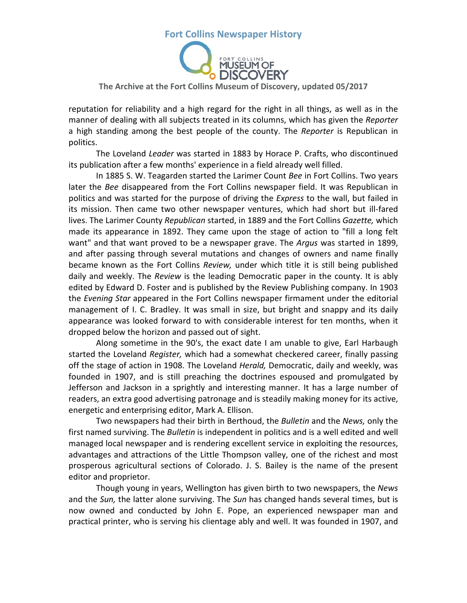

#### **The Archive at the Fort Collins Museum of Discovery, updated 05/2017**

reputation for reliability and a high regard for the right in all things, as well as in the manner of dealing with all subjects treated in its columns, which has given the *Reporter*  a high standing among the best people of the county. The *Reporter* is Republican in politics.

The Loveland *Leader* was started in 1883 by Horace P. Crafts, who discontinued its publication after a few months' experience in a field already well filled.

In 1885 S. W. Teagarden started the Larimer Count *Bee* in Fort Collins. Two years later the *Bee* disappeared from the Fort Collins newspaper field. It was Republican in politics and was started for the purpose of driving the *Express* to the wall, but failed in its mission. Then came two other newspaper ventures, which had short but ill-fared lives. The Larimer County *Republican* started, in 1889 and the Fort Collins *Gazette,* which made its appearance in 1892. They came upon the stage of action to "fill a long felt want" and that want proved to be a newspaper grave. The *Argus* was started in 1899, and after passing through several mutations and changes of owners and name finally became known as the Fort Collins *Review,* under which title it is still being published daily and weekly. The *Review* is the leading Democratic paper in the county. It is ably edited by Edward D. Foster and is published by the Review Publishing company. In 1903 the *Evening Star* appeared in the Fort Collins newspaper firmament under the editorial management of I. C. Bradley. It was small in size, but bright and snappy and its daily appearance was looked forward to with considerable interest for ten months, when it dropped below the horizon and passed out of sight.

Along sometime in the 90's, the exact date I am unable to give, Earl Harbaugh started the Loveland *Register,* which had a somewhat checkered career, finally passing off the stage of action in 1908. The Loveland *Herald,* Democratic, daily and weekly, was founded in 1907, and is still preaching the doctrines espoused and promulgated by Jefferson and Jackson in a sprightly and interesting manner. It has a large number of readers, an extra good advertising patronage and is steadily making money for its active, energetic and enterprising editor, Mark A. Ellison.

Two newspapers had their birth in Berthoud, the *Bulletin* and the *News,* only the first named surviving. The *Bulletin* is independent in politics and is a well edited and well managed local newspaper and is rendering excellent service in exploiting the resources, advantages and attractions of the Little Thompson valley, one of the richest and most prosperous agricultural sections of Colorado. J. S. Bailey is the name of the present editor and proprietor.

Though young in years, Wellington has given birth to two newspapers, the *News*  and the *Sun,* the latter alone surviving. The *Sun* has changed hands several times, but is now owned and conducted by John E. Pope, an experienced newspaper man and practical printer, who is serving his clientage ably and well. It was founded in 1907, and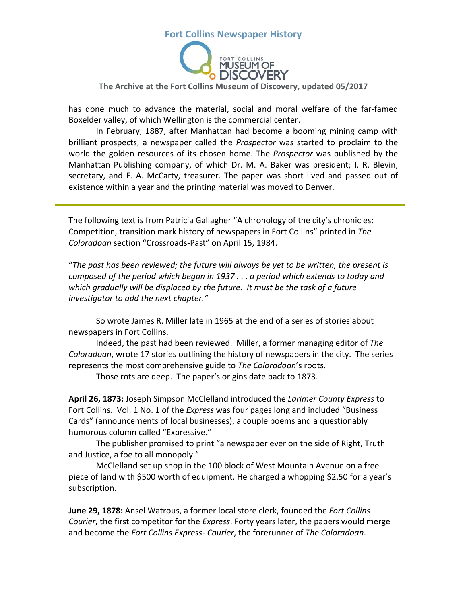

#### **The Archive at the Fort Collins Museum of Discovery, updated 05/2017**

has done much to advance the material, social and moral welfare of the far-famed Boxelder valley, of which Wellington is the commercial center.

In February, 1887, after Manhattan had become a booming mining camp with brilliant prospects, a newspaper called the *Prospector* was started to proclaim to the world the golden resources of its chosen home. The *Prospector* was published by the Manhattan Publishing company, of which Dr. M. A. Baker was president; I. R. Blevin, secretary, and F. A. McCarty, treasurer. The paper was short lived and passed out of existence within a year and the printing material was moved to Denver.

The following text is from Patricia Gallagher "A chronology of the city's chronicles: Competition, transition mark history of newspapers in Fort Collins" printed in *The Coloradoan* section "Crossroads-Past" on April 15, 1984.

"*The past has been reviewed; the future will always be yet to be written, the present is composed of the period which began in 1937 . . . a period which extends to today and which gradually will be displaced by the future. It must be the task of a future investigator to add the next chapter."*

So wrote James R. Miller late in 1965 at the end of a series of stories about newspapers in Fort Collins.

Indeed, the past had been reviewed. Miller, a former managing editor of *The Coloradoan*, wrote 17 stories outlining the history of newspapers in the city. The series represents the most comprehensive guide to *The Coloradoan*'s roots.

Those rots are deep. The paper's origins date back to 1873.

**April 26, 1873:** Joseph Simpson McClelland introduced the *Larimer County Express* to Fort Collins. Vol. 1 No. 1 of the *Express* was four pages long and included "Business Cards" (announcements of local businesses), a couple poems and a questionably humorous column called "Expressive."

The publisher promised to print "a newspaper ever on the side of Right, Truth and Justice, a foe to all monopoly."

McClelland set up shop in the 100 block of West Mountain Avenue on a free piece of land with \$500 worth of equipment. He charged a whopping \$2.50 for a year's subscription.

**June 29, 1878:** Ansel Watrous, a former local store clerk, founded the *Fort Collins Courier*, the first competitor for the *Express*. Forty years later, the papers would merge and become the *Fort Collins Express- Courier*, the forerunner of *The Coloradoan*.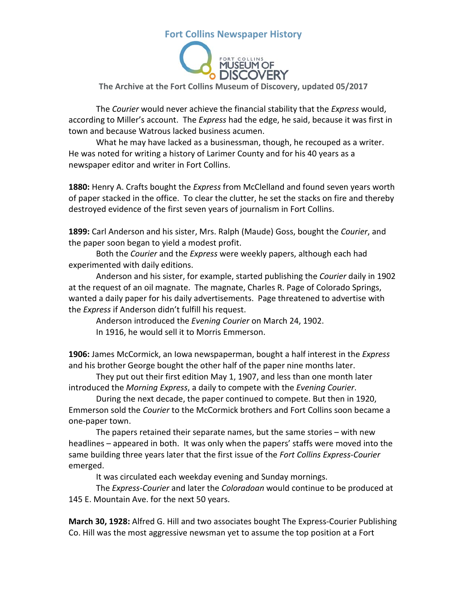

#### **The Archive at the Fort Collins Museum of Discovery, updated 05/2017**

The *Courier* would never achieve the financial stability that the *Express* would, according to Miller's account. The *Express* had the edge, he said, because it was first in town and because Watrous lacked business acumen.

What he may have lacked as a businessman, though, he recouped as a writer. He was noted for writing a history of Larimer County and for his 40 years as a newspaper editor and writer in Fort Collins.

**1880:** Henry A. Crafts bought the *Express* from McClelland and found seven years worth of paper stacked in the office. To clear the clutter, he set the stacks on fire and thereby destroyed evidence of the first seven years of journalism in Fort Collins.

**1899:** Carl Anderson and his sister, Mrs. Ralph (Maude) Goss, bought the *Courier*, and the paper soon began to yield a modest profit.

Both the *Courier* and the *Express* were weekly papers, although each had experimented with daily editions.

Anderson and his sister, for example, started publishing the *Courier* daily in 1902 at the request of an oil magnate. The magnate, Charles R. Page of Colorado Springs, wanted a daily paper for his daily advertisements. Page threatened to advertise with the *Express* if Anderson didn't fulfill his request.

Anderson introduced the *Evening Courier* on March 24, 1902. In 1916, he would sell it to Morris Emmerson.

**1906:** James McCormick, an Iowa newspaperman, bought a half interest in the *Express* and his brother George bought the other half of the paper nine months later.

They put out their first edition May 1, 1907, and less than one month later introduced the *Morning Express*, a daily to compete with the *Evening Courier*.

During the next decade, the paper continued to compete. But then in 1920, Emmerson sold the *Courier* to the McCormick brothers and Fort Collins soon became a one-paper town.

The papers retained their separate names, but the same stories – with new headlines – appeared in both. It was only when the papers' staffs were moved into the same building three years later that the first issue of the *Fort Collins Express-Courier* emerged.

It was circulated each weekday evening and Sunday mornings.

The *Express-Courier* and later the *Coloradoan* would continue to be produced at 145 E. Mountain Ave. for the next 50 years.

**March 30, 1928:** Alfred G. Hill and two associates bought The Express-Courier Publishing Co. Hill was the most aggressive newsman yet to assume the top position at a Fort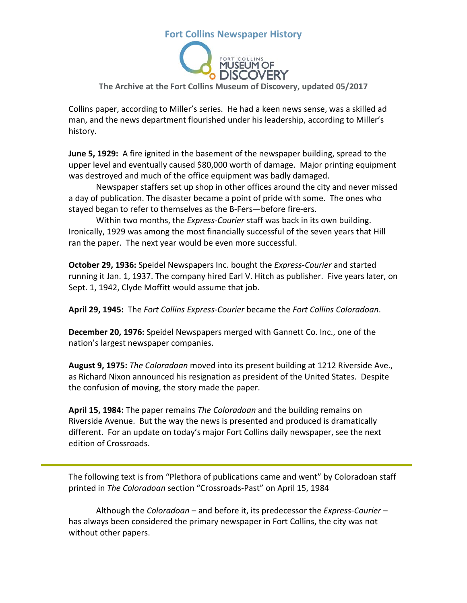

#### **The Archive at the Fort Collins Museum of Discovery, updated 05/2017**

Collins paper, according to Miller's series. He had a keen news sense, was a skilled ad man, and the news department flourished under his leadership, according to Miller's history.

**June 5, 1929:** A fire ignited in the basement of the newspaper building, spread to the upper level and eventually caused \$80,000 worth of damage. Major printing equipment was destroyed and much of the office equipment was badly damaged.

Newspaper staffers set up shop in other offices around the city and never missed a day of publication. The disaster became a point of pride with some. The ones who stayed began to refer to themselves as the B-Fers—before fire-ers.

Within two months, the *Express-Courier* staff was back in its own building. Ironically, 1929 was among the most financially successful of the seven years that Hill ran the paper. The next year would be even more successful.

**October 29, 1936:** Speidel Newspapers Inc. bought the *Express-Courier* and started running it Jan. 1, 1937. The company hired Earl V. Hitch as publisher. Five years later, on Sept. 1, 1942, Clyde Moffitt would assume that job.

**April 29, 1945:** The *Fort Collins Express-Courier* became the *Fort Collins Coloradoan*.

**December 20, 1976:** Speidel Newspapers merged with Gannett Co. Inc., one of the nation's largest newspaper companies.

**August 9, 1975:** *The Coloradoan* moved into its present building at 1212 Riverside Ave., as Richard Nixon announced his resignation as president of the United States. Despite the confusion of moving, the story made the paper.

**April 15, 1984:** The paper remains *The Coloradoan* and the building remains on Riverside Avenue. But the way the news is presented and produced is dramatically different. For an update on today's major Fort Collins daily newspaper, see the next edition of Crossroads.

The following text is from "Plethora of publications came and went" by Coloradoan staff printed in *The Coloradoan* section "Crossroads-Past" on April 15, 1984

Although the *Coloradoan* – and before it, its predecessor the *Express-Courier* – has always been considered the primary newspaper in Fort Collins, the city was not without other papers.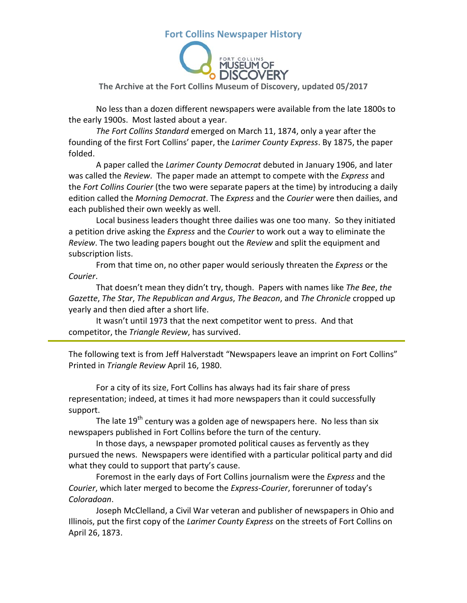

#### **The Archive at the Fort Collins Museum of Discovery, updated 05/2017**

No less than a dozen different newspapers were available from the late 1800s to the early 1900s. Most lasted about a year.

*The Fort Collins Standard* emerged on March 11, 1874, only a year after the founding of the first Fort Collins' paper, the *Larimer County Express*. By 1875, the paper folded.

A paper called the *Larimer County Democrat* debuted in January 1906, and later was called the *Review*. The paper made an attempt to compete with the *Express* and the *Fort Collins Courier* (the two were separate papers at the time) by introducing a daily edition called the *Morning Democrat*. The *Express* and the *Courier* were then dailies, and each published their own weekly as well.

Local business leaders thought three dailies was one too many. So they initiated a petition drive asking the *Express* and the *Courier* to work out a way to eliminate the *Review*. The two leading papers bought out the *Review* and split the equipment and subscription lists.

From that time on, no other paper would seriously threaten the *Express* or the *Courier*.

That doesn't mean they didn't try, though. Papers with names like *The Bee*, *the Gazette*, *The Star*, *The Republican and Argus*, *The Beacon*, and *The Chronicle* cropped up yearly and then died after a short life.

It wasn't until 1973 that the next competitor went to press. And that competitor, the *Triangle Review*, has survived.

The following text is from Jeff Halverstadt "Newspapers leave an imprint on Fort Collins" Printed in *Triangle Review* April 16, 1980.

For a city of its size, Fort Collins has always had its fair share of press representation; indeed, at times it had more newspapers than it could successfully support.

The late  $19<sup>th</sup>$  century was a golden age of newspapers here. No less than six newspapers published in Fort Collins before the turn of the century.

In those days, a newspaper promoted political causes as fervently as they pursued the news. Newspapers were identified with a particular political party and did what they could to support that party's cause.

Foremost in the early days of Fort Collins journalism were the *Express* and the *Courier*, which later merged to become the *Express-Courier*, forerunner of today's *Coloradoan*.

Joseph McClelland, a Civil War veteran and publisher of newspapers in Ohio and Illinois, put the first copy of the *Larimer County Express* on the streets of Fort Collins on April 26, 1873.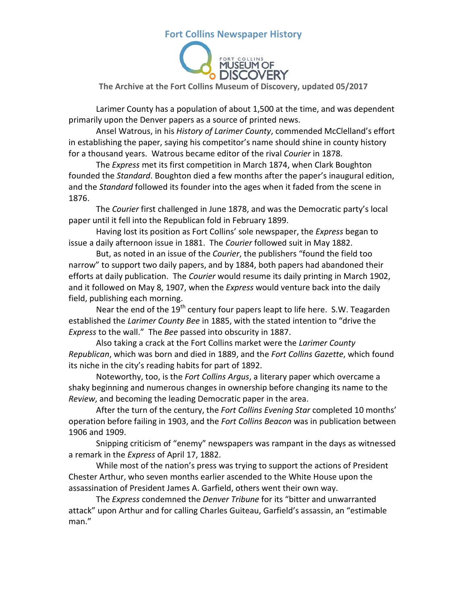

**The Archive at the Fort Collins Museum of Discovery, updated 05/2017**

Larimer County has a population of about 1,500 at the time, and was dependent primarily upon the Denver papers as a source of printed news.

Ansel Watrous, in his *History of Larimer County*, commended McClelland's effort in establishing the paper, saying his competitor's name should shine in county history for a thousand years. Watrous became editor of the rival *Courier* in 1878.

The *Express* met its first competition in March 1874, when Clark Boughton founded the *Standard*. Boughton died a few months after the paper's inaugural edition, and the *Standard* followed its founder into the ages when it faded from the scene in 1876.

The *Courier* first challenged in June 1878, and was the Democratic party's local paper until it fell into the Republican fold in February 1899.

Having lost its position as Fort Collins' sole newspaper, the *Express* began to issue a daily afternoon issue in 1881. The *Courier* followed suit in May 1882.

But, as noted in an issue of the *Courier*, the publishers "found the field too narrow" to support two daily papers, and by 1884, both papers had abandoned their efforts at daily publication. The *Courier* would resume its daily printing in March 1902, and it followed on May 8, 1907, when the *Express* would venture back into the daily field, publishing each morning.

Near the end of the  $19<sup>th</sup>$  century four papers leapt to life here. S.W. Teagarden established the *Larimer County Bee* in 1885, with the stated intention to "drive the *Express* to the wall." The *Bee* passed into obscurity in 1887.

Also taking a crack at the Fort Collins market were the *Larimer County Republican*, which was born and died in 1889, and the *Fort Collins Gazette*, which found its niche in the city's reading habits for part of 1892.

Noteworthy, too, is the *Fort Collins Argus*, a literary paper which overcame a shaky beginning and numerous changes in ownership before changing its name to the *Review*, and becoming the leading Democratic paper in the area.

After the turn of the century, the *Fort Collins Evening Star* completed 10 months' operation before failing in 1903, and the *Fort Collins Beacon* was in publication between 1906 and 1909.

Snipping criticism of "enemy" newspapers was rampant in the days as witnessed a remark in the *Express* of April 17, 1882.

While most of the nation's press was trying to support the actions of President Chester Arthur, who seven months earlier ascended to the White House upon the assassination of President James A. Garfield, others went their own way.

The *Express* condemned the *Denver Tribune* for its "bitter and unwarranted attack" upon Arthur and for calling Charles Guiteau, Garfield's assassin, an "estimable man."